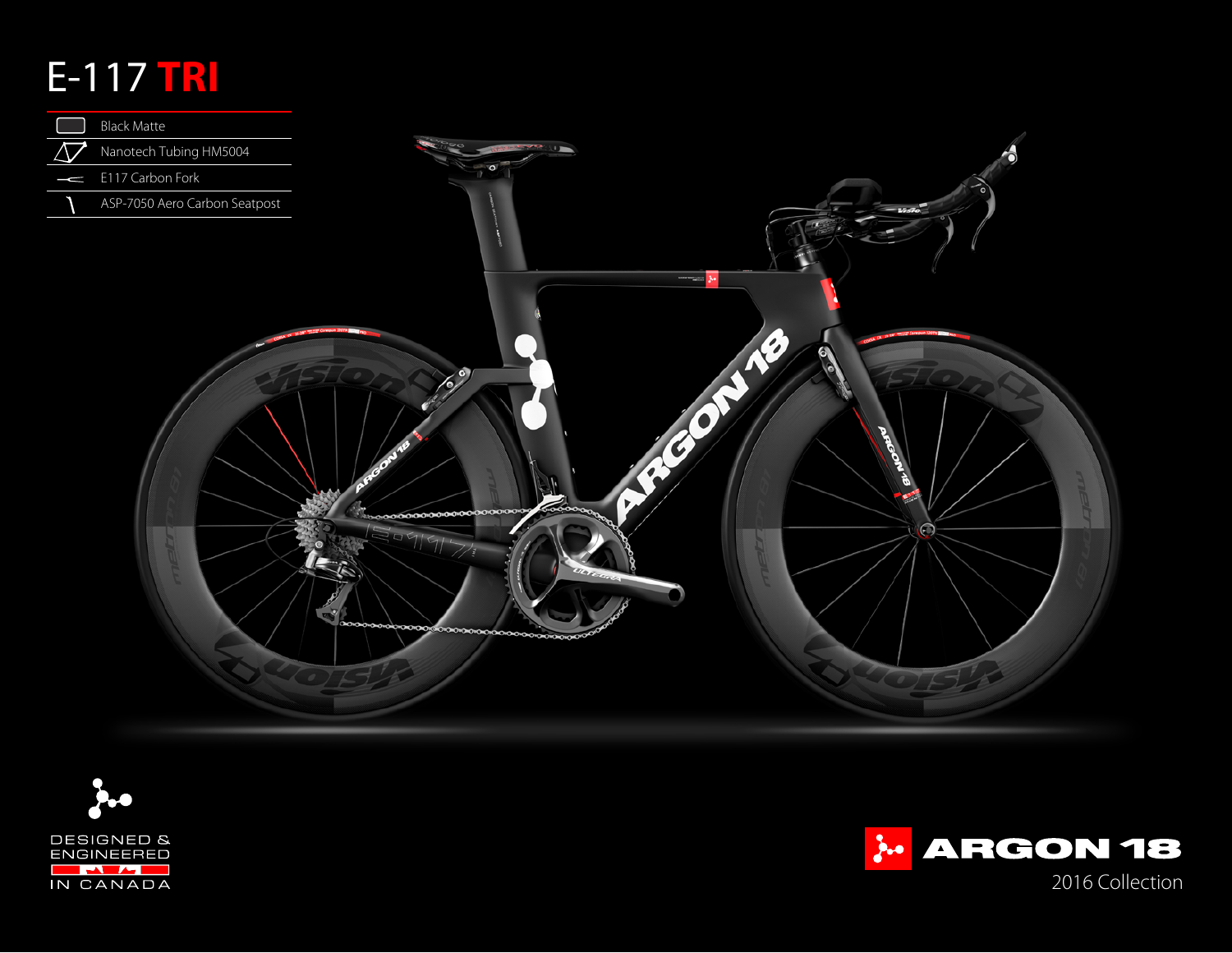## E-117 **TRI**